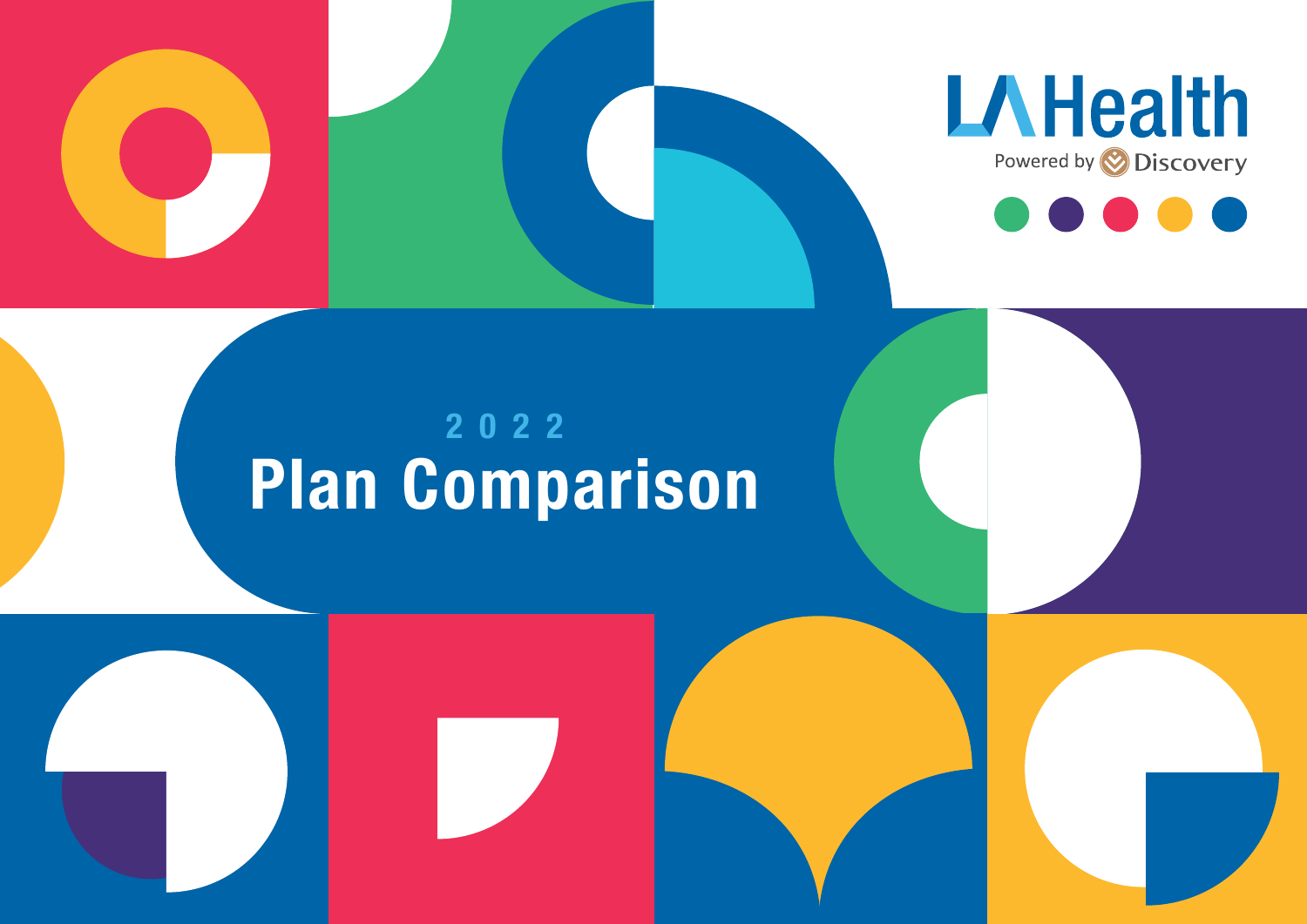





# Plan Comparison 2022

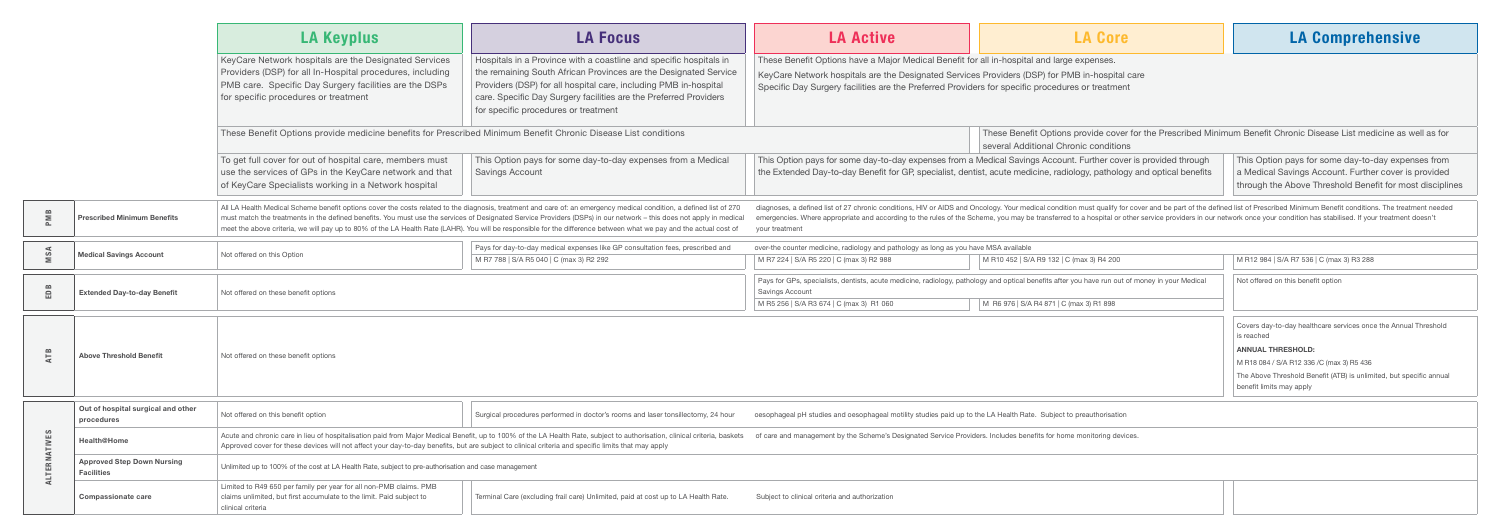| These Benefit Options provide medicine benefits for Prescribed Minimum Benefit Chronic Disease List conditions | These Benefit Options provide cover for the Prescribed Minimum Benefit Chronic Disease List medicine as well as for |  |  |  |  |
|----------------------------------------------------------------------------------------------------------------|---------------------------------------------------------------------------------------------------------------------|--|--|--|--|
|                                                                                                                | several Additional Chronic conditions                                                                               |  |  |  |  |
|                                                                                                                |                                                                                                                     |  |  |  |  |

r pays for some day-to-day expenses from a Medical Savings Account. Further cover is provided through ted Day-to-day Benefit for GP, specialist, dentist, acute medicine, radiology, pathology and optical benefits

This Option pays for some day-to-day expenses from a Medical Savings Account. Further cover is provided through the Above Threshold Benefit for most disciplines

defined list of 27 chronic conditions, HIV or AIDS and Oncology. Your medical condition must qualify for cover and be part of the defined list of Prescribed Minimum Benefit conditions. The treatment needed Where appropriate and according to the rules of the Scheme, you may be transferred to a hospital or other service providers in our network once your condition has stabilised. If your treatment doesn't

|              |                                                        | <b>LA Keyplus</b>                                                                                                                                                                                                    | <b>LA Focus</b>                                                                                                                                                                                                                                                                                                                                                                                                                                                                                                  | <b>LA Active</b>                                                                                                                                                                                                        |
|--------------|--------------------------------------------------------|----------------------------------------------------------------------------------------------------------------------------------------------------------------------------------------------------------------------|------------------------------------------------------------------------------------------------------------------------------------------------------------------------------------------------------------------------------------------------------------------------------------------------------------------------------------------------------------------------------------------------------------------------------------------------------------------------------------------------------------------|-------------------------------------------------------------------------------------------------------------------------------------------------------------------------------------------------------------------------|
|              |                                                        | KeyCare Network hospitals are the Designated Services<br>Providers (DSP) for all In-Hospital procedures, including<br>PMB care. Specific Day Surgery facilities are the DSPs<br>for specific procedures or treatment | Hospitals in a Province with a coastline and specific hospitals in<br>the remaining South African Provinces are the Designated Service<br>Providers (DSP) for all hospital care, including PMB in-hospital<br>care. Specific Day Surgery facilities are the Preferred Providers<br>for specific procedures or treatment                                                                                                                                                                                          | These Benefit Options have a Major Medical Benefit for all in-hospita<br>KeyCare Network hospitals are the Designated Services Providers (D<br>Specific Day Surgery facilities are the Preferred Providers for specific |
|              |                                                        | These Benefit Options provide medicine benefits for Prescribed Minimum Benefit Chronic Disease List conditions                                                                                                       |                                                                                                                                                                                                                                                                                                                                                                                                                                                                                                                  | These Bene<br>several Add                                                                                                                                                                                               |
|              |                                                        | To get full cover for out of hospital care, members must<br>use the services of GPs in the KeyCare network and that<br>of KeyCare Specialists working in a Network hospital                                          | This Option pays for some day-to-day expenses from a Medical<br><b>Savings Account</b>                                                                                                                                                                                                                                                                                                                                                                                                                           | This Option pays for some day-to-day expenses from a Medical Savin<br>the Extended Day-to-day Benefit for GP, specialist, dentist, acute med                                                                            |
| PMB          | <b>Prescribed Minimum Benefits</b>                     |                                                                                                                                                                                                                      | All LA Health Medical Scheme benefit options cover the costs related to the diagnosis, treatment and care of: an emergency medical condition, a defined list of 270<br>must match the treatments in the defined benefits. You must use the services of Designated Service Providers (DSPs) in our network - this does not apply in medical<br>meet the above criteria, we will pay up to 80% of the LA Health Rate (LAHR). You will be responsible for the difference between what we pay and the actual cost of | diagnoses, a defined list of 27 chronic conditions, HIV or AIDS and Oncology. Your me<br>emergencies. Where appropriate and according to the rules of the Scheme, you may b<br>your treatment                           |
| MSA          | <b>Medical Savings Account</b>                         | Not offered on this Option                                                                                                                                                                                           | Pays for day-to-day medical expenses like GP consultation fees, prescribed and<br>M R7 788   S/A R5 040   C (max 3) R2 292                                                                                                                                                                                                                                                                                                                                                                                       | over-the counter medicine, radiology and pathology as long as you have MSA available<br>M R7 224   S/A R5 220   C (max 3) R2 988<br>M R10 452   S/                                                                      |
| EDB          | <b>Extended Day-to-day Benefit</b>                     | Not offered on these benefit options                                                                                                                                                                                 |                                                                                                                                                                                                                                                                                                                                                                                                                                                                                                                  | Pays for GPs, specialists, dentists, acute medicine, radiology, pathology and optical b<br>Savings Account<br>M R5 256   S/A R3 674   C (max 3) R1 060<br>M R6 976   S/A                                                |
| ATB          | <b>Above Threshold Benefit</b>                         | Not offered on these benefit options                                                                                                                                                                                 |                                                                                                                                                                                                                                                                                                                                                                                                                                                                                                                  |                                                                                                                                                                                                                         |
|              | Out of hospital surgical and other<br>procedures       | Not offered on this benefit option                                                                                                                                                                                   | Surgical procedures performed in doctor's rooms and laser tonsillectomy, 24 hour                                                                                                                                                                                                                                                                                                                                                                                                                                 | oesophageal pH studies and oesophageal motility studies paid up to the LA Health Rat                                                                                                                                    |
|              | <b>Health@Home</b>                                     | Approved cover for these devices will not affect your day-to-day benefits, but are subject to clinical criteria and specific limits that may apply                                                                   | Acute and chronic care in lieu of hospitalisation paid from Major Medical Benefit, up to 100% of the LA Health Rate, subject to authorisation, clinical criteria, baskets                                                                                                                                                                                                                                                                                                                                        | of care and management by the Scheme's Designated Service Providers. Includes ben                                                                                                                                       |
| ALTERNATIVES | <b>Approved Step Down Nursing</b><br><b>Facilities</b> | Unlimited up to 100% of the cost at LA Health Rate, subject to pre-authorisation and case management                                                                                                                 |                                                                                                                                                                                                                                                                                                                                                                                                                                                                                                                  |                                                                                                                                                                                                                         |
|              | <b>Compassionate care</b>                              | Limited to R49 650 per family per year for all non-PMB claims. PMB<br>claims unlimited, but first accumulate to the limit. Paid subject to<br>clinical criteria                                                      | Subject to clinical criteria and authorization                                                                                                                                                                                                                                                                                                                                                                                                                                                                   |                                                                                                                                                                                                                         |

| <b>LA Active</b> |  |  |
|------------------|--|--|
|                  |  |  |

efit Options have a Major Medical Benefit for all in-hospital and large expenses. Vetwork hospitals are the Designated Services Providers (DSP) for PMB in-hospital care ay Surgery facilities are the Preferred Providers for specific procedures or treatment

| Pays for day-to-day medical expenses like GP consultation fees, prescribed and | over-the counter medicine, radiology and pathology as long as you have MSA available |                                                                                                                                                |                                                                                                 |
|--------------------------------------------------------------------------------|--------------------------------------------------------------------------------------|------------------------------------------------------------------------------------------------------------------------------------------------|-------------------------------------------------------------------------------------------------|
| M R7 788   S/A R5 040   C (max 3) R2 292                                       | M R7 224   S/A R5 220   C (max 3) R2 988                                             | M R10 452   S/A R9 132   C (max 3) R4 200                                                                                                      | M R12 984   S/A R7 536   C (max 3) R3 288                                                       |
|                                                                                | Savings Account                                                                      | Pays for GPs, specialists, dentists, acute medicine, radiology, pathology and optical benefits after you have run out of money in your Medical | Not offered on this benefit option                                                              |
|                                                                                | M R5 256   S/A R3 674   C (max 3) R1 060                                             | M R6 976   S/A R4 871   C (max 3) R1 898                                                                                                       |                                                                                                 |
|                                                                                |                                                                                      |                                                                                                                                                | Covers day-to-day healthcare services once the Annual Threshold                                 |
|                                                                                |                                                                                      |                                                                                                                                                | is reached                                                                                      |
|                                                                                |                                                                                      |                                                                                                                                                | <b>ANNUAL THRESHOLD:</b>                                                                        |
|                                                                                |                                                                                      |                                                                                                                                                | M R18 084 / S/A R12 336 /C (max 3) R5 436                                                       |
|                                                                                |                                                                                      |                                                                                                                                                | The Above Threshold Benefit (ATB) is unlimited, but specific annual<br>benefit limits may apply |

pH studies and oesophageal motility studies paid up to the LA Health Rate. Subject to preauthorisation

anagement by the Scheme's Designated Service Providers. Includes benefits for home monitoring devices.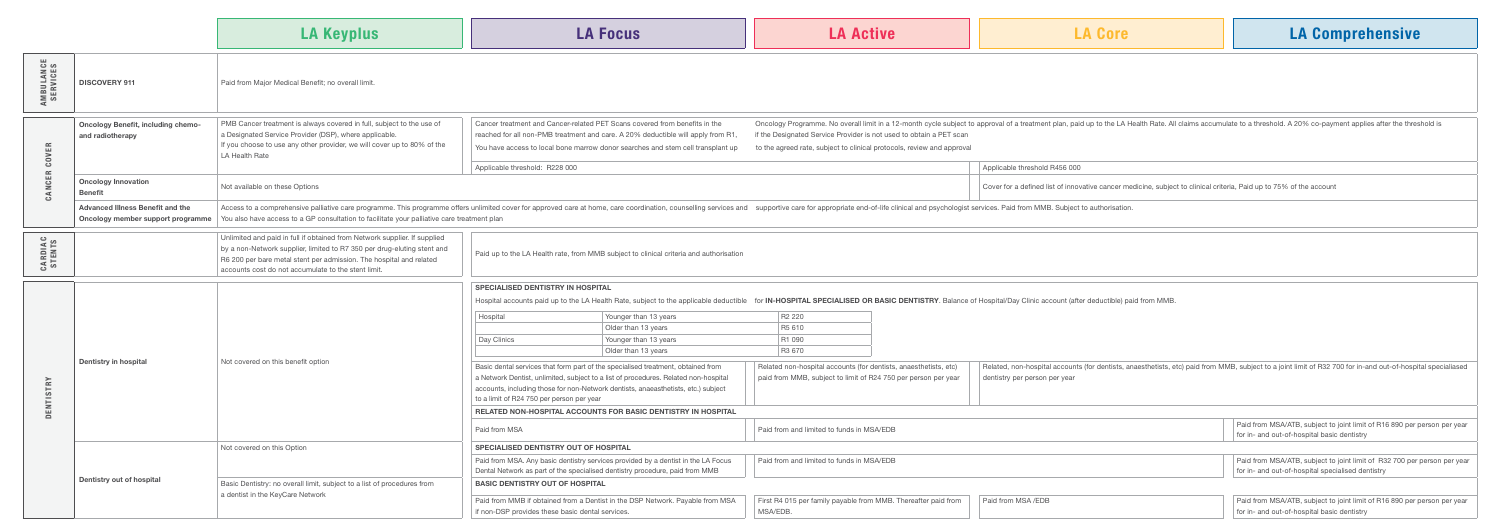|                               |                                                                              | <b>LA Keyplus</b>                                                                                                                                                                                                                                                                                                             | <b>LA Focus</b>                                                                                                                                                                                                                                                                                                                                                                                                                                                                                                                                                                                                                                                                                                                                                                      | <b>LA Active</b>                                                                                                                                                                                                        | <b>LA Core</b>                                                                                                                                                                       | <b>LA Cor</b>                                                      |  |  |  |
|-------------------------------|------------------------------------------------------------------------------|-------------------------------------------------------------------------------------------------------------------------------------------------------------------------------------------------------------------------------------------------------------------------------------------------------------------------------|--------------------------------------------------------------------------------------------------------------------------------------------------------------------------------------------------------------------------------------------------------------------------------------------------------------------------------------------------------------------------------------------------------------------------------------------------------------------------------------------------------------------------------------------------------------------------------------------------------------------------------------------------------------------------------------------------------------------------------------------------------------------------------------|-------------------------------------------------------------------------------------------------------------------------------------------------------------------------------------------------------------------------|--------------------------------------------------------------------------------------------------------------------------------------------------------------------------------------|--------------------------------------------------------------------|--|--|--|
| <b>AMBULANCE<br/>SERVICES</b> | <b>DISCOVERY 911</b>                                                         | Paid from Major Medical Benefit; no overall limit.                                                                                                                                                                                                                                                                            |                                                                                                                                                                                                                                                                                                                                                                                                                                                                                                                                                                                                                                                                                                                                                                                      |                                                                                                                                                                                                                         |                                                                                                                                                                                      |                                                                    |  |  |  |
| <b>OVER</b><br>$\bar{c}$      | <b>Oncology Benefit, including chemo-</b><br>and radiotherapy                | PMB Cancer treatment is always covered in full, subject to the use of<br>a Designated Service Provider (DSP), where applicable.<br>If you choose to use any other provider, we will cover up to 80% of the<br>LA Health Rate                                                                                                  | Cancer treatment and Cancer-related PET Scans covered from benefits in the<br>reached for all non-PMB treatment and care. A 20% deductible will apply from R1,<br>You have access to local bone marrow donor searches and stem cell transplant up                                                                                                                                                                                                                                                                                                                                                                                                                                                                                                                                    | if the Designated Service Provider is not used to obtain a PET scan<br>to the agreed rate, subject to clinical protocols, review and approval                                                                           | Oncology Programme. No overall limit in a 12-month cycle subject to approval of a treatment plan, paid up to the LA Health Rate. All claims accumulate to a threshold. A 20% co-payr |                                                                    |  |  |  |
| щ<br>ت                        | <b>Oncology Innovation</b><br><b>Benefit</b>                                 | Not available on these Options                                                                                                                                                                                                                                                                                                | Applicable threshold R456 000<br>Applicable threshold: R228 000<br>Cover for a defined list of innovative cancer medicine, subject to clinical criteria, Paid up to 75% of the account                                                                                                                                                                                                                                                                                                                                                                                                                                                                                                                                                                                               |                                                                                                                                                                                                                         |                                                                                                                                                                                      |                                                                    |  |  |  |
|                               | <b>Advanced Illness Benefit and the</b><br>Oncology member support programme | Access to a comprehensive palliative care programme. This programme offers unlimited cover for approved care at home, care coordination, counselling services and supportive care for appropriate end-of-life clinical and psy<br>You also have access to a GP consultation to facilitate your palliative care treatment plan |                                                                                                                                                                                                                                                                                                                                                                                                                                                                                                                                                                                                                                                                                                                                                                                      |                                                                                                                                                                                                                         |                                                                                                                                                                                      |                                                                    |  |  |  |
| <b>CARDIAC</b><br>STENTS      |                                                                              | Unlimited and paid in full if obtained from Network supplier. If supplied<br>by a non-Network supplier, limited to R7 350 per drug-eluting stent and<br>R6 200 per bare metal stent per admission. The hospital and related<br>accounts cost do not accumulate to the stent limit.                                            | Paid up to the LA Health rate, from MMB subject to clinical criteria and authorisation                                                                                                                                                                                                                                                                                                                                                                                                                                                                                                                                                                                                                                                                                               |                                                                                                                                                                                                                         |                                                                                                                                                                                      |                                                                    |  |  |  |
| $\approx$                     | Dentistry in hospital                                                        | Not covered on this benefit option                                                                                                                                                                                                                                                                                            | <b>SPECIALISED DENTISTRY IN HOSPITAL</b><br>Hospital accounts paid up to the LA Health Rate, subject to the applicable deductible for IN-HOSPITAL SPECIALISED OR BASIC DENTISTRY. Balance of Hospital/Day Clinic account (after deductible) paid from MMB.<br>Younger than 13 years<br>Hospital<br>Older than 13 years<br>Younger than 13 years<br>Day Clinics<br>Older than 13 years<br>Basic dental services that form part of the specialised treatment, obtained from<br>a Network Dentist, unlimited, subject to a list of procedures. Related non-hospital<br>accounts, including those for non-Network dentists, anaeasthetists, etc.) subject<br>to a limit of R24 750 per person per year<br>RELATED NON-HOSPITAL ACCOUNTS FOR BASIC DENTISTRY IN HOSPITAL<br>Paid from MSA | R2 220<br>R5 610<br>R1 090<br>R3 670<br>Related non-hospital accounts (for dentists, anaesthetists, etc)<br>paid from MMB, subject to limit of R24 750 per person per year<br>Paid from and limited to funds in MSA/EDB | Related, non-hospital accounts (for dentists, anaesthetists, etc) paid from MMB, subject to a joint limit of R32 7<br>dentistry per person per year                                  | Paid from MSA/ATB, subject to<br>for in- and out-of-hospital basid |  |  |  |
|                               | Dentistry out of hospital                                                    | Not covered on this Option                                                                                                                                                                                                                                                                                                    | <b>SPECIALISED DENTISTRY OUT OF HOSPITAL</b><br>Paid from MSA. Any basic dentistry services provided by a dentist in the LA Focus<br>Dental Network as part of the specialised dentistry procedure, paid from MMB                                                                                                                                                                                                                                                                                                                                                                                                                                                                                                                                                                    | Paid from and limited to funds in MSA/EDB                                                                                                                                                                               |                                                                                                                                                                                      | Paid from MSA/ATB, subject to<br>for in- and out-of-hospital spec  |  |  |  |
|                               |                                                                              | Basic Dentistry: no overall limit, subject to a list of procedures from<br>a dentist in the KeyCare Network                                                                                                                                                                                                                   | <b>BASIC DENTISTRY OUT OF HOSPITAL</b><br>Paid from MMB if obtained from a Dentist in the DSP Network. Payable from MSA<br>if non-DSP provides these basic dental services.                                                                                                                                                                                                                                                                                                                                                                                                                                                                                                                                                                                                          | First R4 015 per family payable from MMB. Thereafter paid from<br>MSA/EDB.                                                                                                                                              | Paid from MSA /EDB                                                                                                                                                                   | Paid from MSA/ATB, subject to<br>for in- and out-of-hospital basid |  |  |  |

gramme. No overall limit in a 12-month cycle subject to approval of a treatment plan, paid up to the LA Health Rate. All claims accumulate to a threshold. A 20% co-payment applies after the threshold is exted Service Provider is not used to obtain a PET scan

|  | Applicable threshold R456 000                                                                                       |
|--|---------------------------------------------------------------------------------------------------------------------|
|  | Cover for a defined list of innovative cancer medicine, subject to clinical criteria, Paid up to 75% of the account |

## TAL SPECIALISED OR BASIC DENTISTRY. Balance of Hospital/Day Clinic account (after deductible) paid from MMB.

| Hospital                                         | Younger than 13 years                                                                                                                                                                                                                                        | R <sub>2</sub> 220                        |                                                                                                                                    |                               |                                                                                                                                                              |
|--------------------------------------------------|--------------------------------------------------------------------------------------------------------------------------------------------------------------------------------------------------------------------------------------------------------------|-------------------------------------------|------------------------------------------------------------------------------------------------------------------------------------|-------------------------------|--------------------------------------------------------------------------------------------------------------------------------------------------------------|
|                                                  | Older than 13 years                                                                                                                                                                                                                                          | R5 610                                    |                                                                                                                                    |                               |                                                                                                                                                              |
| Day Clinics                                      | Younger than 13 years                                                                                                                                                                                                                                        | R1 090                                    |                                                                                                                                    |                               |                                                                                                                                                              |
|                                                  | Older than 13 years                                                                                                                                                                                                                                          | R3 670                                    |                                                                                                                                    |                               |                                                                                                                                                              |
| to a limit of R24 750 per person per year        | Basic dental services that form part of the specialised treatment, obtained from<br>a Network Dentist, unlimited, subject to a list of procedures. Related non-hospital<br>accounts, including those for non-Network dentists, anaeasthetists, etc.) subject |                                           | Related non-hospital accounts (for dentists, anaesthetists, etc)<br>paid from MMB, subject to limit of R24 750 per person per year | dentistry per person per year | Related, non-hospital accounts (for dentists, anaesthetists, etc) paid from MMB, subject to a joint limit of R32 700 for in-and out-of-hospital specialiased |
|                                                  | RELATED NON-HOSPITAL ACCOUNTS FOR BASIC DENTISTRY IN HOSPITAL                                                                                                                                                                                                |                                           |                                                                                                                                    |                               |                                                                                                                                                              |
| Paid from MSA                                    |                                                                                                                                                                                                                                                              | Paid from and limited to funds in MSA/EDB |                                                                                                                                    |                               | Paid from MSA/ATB, subject to joint limit of R16 890 per person per year<br>for in- and out-of-hospital basic dentistry                                      |
| <b>SPECIALISED DENTISTRY OUT OF HOSPITAL</b>     |                                                                                                                                                                                                                                                              |                                           |                                                                                                                                    |                               |                                                                                                                                                              |
|                                                  | Paid from MSA. Any basic dentistry services provided by a dentist in the LA Focus<br>Dental Network as part of the specialised dentistry procedure, paid from MMB                                                                                            | Paid from and limited to funds in MSA/EDB |                                                                                                                                    |                               | Paid from MSA/ATB, subject to joint limit of R32 700 per person per year<br>for in- and out-of-hospital specialised dentistry                                |
| <b>BASIC DENTISTRY OUT OF HOSPITAL</b>           |                                                                                                                                                                                                                                                              |                                           |                                                                                                                                    |                               |                                                                                                                                                              |
| if non-DSP provides these basic dental services. | Paid from MMB if obtained from a Dentist in the DSP Network. Payable from MSA                                                                                                                                                                                | MSA/EDB.                                  | First R4 015 per family payable from MMB. Thereafter paid from                                                                     | Paid from MSA /EDB            | Paid from MSA/ATB, subject to joint limit of R16 890 per person per year<br>for in- and out-of-hospital basic dentistry                                      |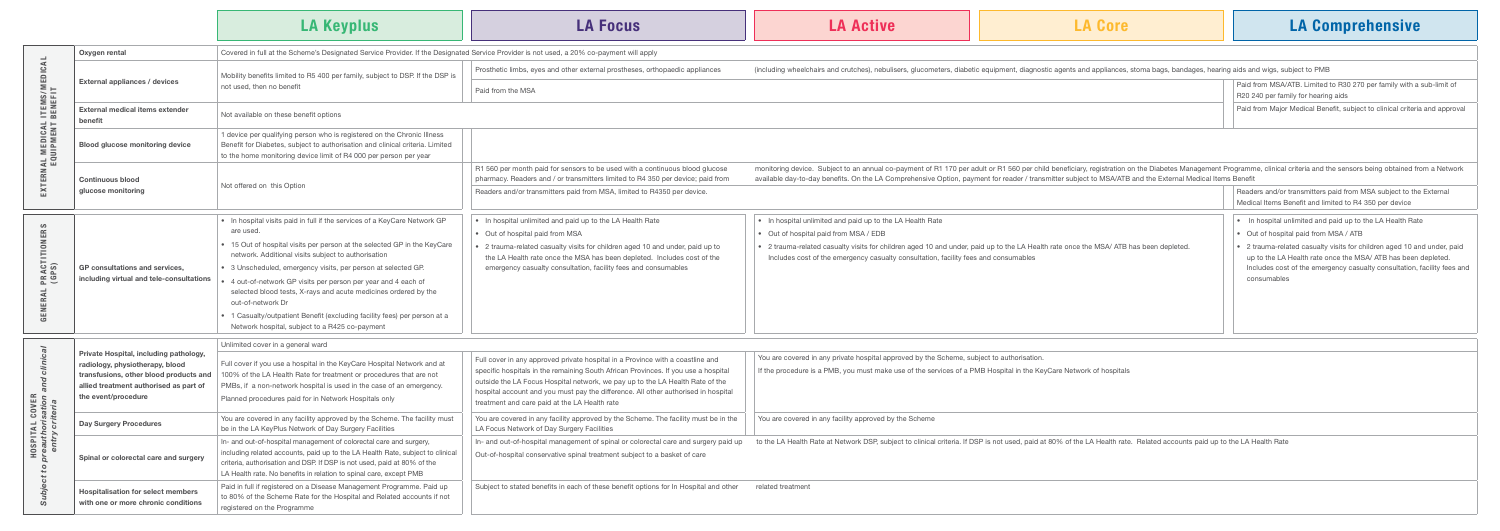| Prosthetic limbs, eyes and other external prostheses, orthopaedic appliances                                                                                                                                             | (including wheelchairs and crutches), nebulisers, glucometers, diabetic equipment, diagnostic agents and appliances, stoma bags, bandages, hearing aids and wigs, subject to PMB                                                                                                                                                                                                        |                                                                                                                                                                                                                                    |
|--------------------------------------------------------------------------------------------------------------------------------------------------------------------------------------------------------------------------|-----------------------------------------------------------------------------------------------------------------------------------------------------------------------------------------------------------------------------------------------------------------------------------------------------------------------------------------------------------------------------------------|------------------------------------------------------------------------------------------------------------------------------------------------------------------------------------------------------------------------------------|
| Paid from the MSA                                                                                                                                                                                                        |                                                                                                                                                                                                                                                                                                                                                                                         | Paid from MSA/ATB. Limited to R30 270 per family with a sub-limit of<br>R20 240 per family for hearing aids                                                                                                                        |
|                                                                                                                                                                                                                          |                                                                                                                                                                                                                                                                                                                                                                                         | Paid from Major Medical Benefit, subject to clinical criteria and approval                                                                                                                                                         |
|                                                                                                                                                                                                                          |                                                                                                                                                                                                                                                                                                                                                                                         |                                                                                                                                                                                                                                    |
|                                                                                                                                                                                                                          |                                                                                                                                                                                                                                                                                                                                                                                         |                                                                                                                                                                                                                                    |
| R1 560 per month paid for sensors to be used with a continuous blood glucose                                                                                                                                             | monitoring device. Subject to an annual co-payment of R1 170 per adult or R1 560 per child beneficiary, registration on the Diabetes Management Programme, clinical criteria and the sensors being obtained from a Network<br>available day-to-day benefits. On the LA Comprehensive Option, payment for reader / transmitter subject to MSA/ATB and the External Medical Items Benefit |                                                                                                                                                                                                                                    |
| pharmacy. Readers and / or transmitters limited to R4 350 per device; paid from                                                                                                                                          |                                                                                                                                                                                                                                                                                                                                                                                         |                                                                                                                                                                                                                                    |
| Readers and/or transmitters paid from MSA, limited to R4350 per device.                                                                                                                                                  |                                                                                                                                                                                                                                                                                                                                                                                         | Readers and/or transmitters paid from MSA subject to the External<br>Medical Items Benefit and limited to R4 350 per device                                                                                                        |
| • In hospital unlimited and paid up to the LA Health Rate                                                                                                                                                                | • In hospital unlimited and paid up to the LA Health Rate                                                                                                                                                                                                                                                                                                                               | • In hospital unlimited and paid up to the LA Health Rate                                                                                                                                                                          |
| Out of hospital paid from MSA                                                                                                                                                                                            | • Out of hospital paid from MSA / EDB                                                                                                                                                                                                                                                                                                                                                   | • Out of hospital paid from MSA / ATB                                                                                                                                                                                              |
| 2 trauma-related casualty visits for children aged 10 and under, paid up to<br>the LA Health rate once the MSA has been depleted. Includes cost of the<br>emergency casualty consultation, facility fees and consumables | • 2 trauma-related casualty visits for children aged 10 and under, paid up to the LA Health rate once the MSA/ATB has been depleted.<br>Includes cost of the emergency casualty consultation, facility fees and consumables                                                                                                                                                             | • 2 trauma-related casualty visits for children aged 10 and under, paid<br>up to the LA Health rate once the MSA/ ATB has been depleted.<br>Includes cost of the emergency casualty consultation, facility fees and<br>consumables |
|                                                                                                                                                                                                                          |                                                                                                                                                                                                                                                                                                                                                                                         |                                                                                                                                                                                                                                    |
|                                                                                                                                                                                                                          | $\sim$<br>the contract of the contract of the contract of the contract of the contract of the contract of the contract of                                                                                                                                                                                                                                                               |                                                                                                                                                                                                                                    |

ered in any private hospital approved by the Scheme, subject to authorisation.

dure is a PMB, you must make use of the services of a PMB Hospital in the KeyCare Network of hospitals

ered in any facility approved by the Scheme

alth Rate at Network DSP, subject to clinical criteria. If DSP is not used, paid at 80% of the LA Health rate. Related accounts paid up to the LA Health Rate

|                                          |                                                                                                                                                                                      | <b>LA Keyplus</b>                                                                                                                                                                                                                                                                                                                                                                                                                                                                                                                                                                 | <b>LA Focus</b>                                                                                                                                                                                                                                                                                                                                                                              |                                                                         |
|------------------------------------------|--------------------------------------------------------------------------------------------------------------------------------------------------------------------------------------|-----------------------------------------------------------------------------------------------------------------------------------------------------------------------------------------------------------------------------------------------------------------------------------------------------------------------------------------------------------------------------------------------------------------------------------------------------------------------------------------------------------------------------------------------------------------------------------|----------------------------------------------------------------------------------------------------------------------------------------------------------------------------------------------------------------------------------------------------------------------------------------------------------------------------------------------------------------------------------------------|-------------------------------------------------------------------------|
|                                          | Oxygen rental                                                                                                                                                                        | Covered in full at the Scheme's Designated Service Provider. If the Designated Service Provider is not used, a 20% co-payment will apply                                                                                                                                                                                                                                                                                                                                                                                                                                          |                                                                                                                                                                                                                                                                                                                                                                                              |                                                                         |
| <b>. ITEMS/MEDICAL<br/>BENEFIT</b>       | External appliances / devices                                                                                                                                                        | Mobility benefits limited to R5 400 per family, subject to DSP. If the DSP is<br>not used, then no benefit                                                                                                                                                                                                                                                                                                                                                                                                                                                                        | Prosthetic limbs, eyes and other external prostheses, orthopaedic appliances<br>Paid from the MSA                                                                                                                                                                                                                                                                                            | (including wheelc                                                       |
|                                          | <b>External medical items extender</b><br>benefit                                                                                                                                    | Not available on these benefit options                                                                                                                                                                                                                                                                                                                                                                                                                                                                                                                                            |                                                                                                                                                                                                                                                                                                                                                                                              |                                                                         |
|                                          | <b>Blood glucose monitoring device</b>                                                                                                                                               | 1 device per qualifying person who is registered on the Chronic Illness<br>Benefit for Diabetes, subject to authorisation and clinical criteria. Limited<br>to the home monitoring device limit of R4 000 per person per year                                                                                                                                                                                                                                                                                                                                                     |                                                                                                                                                                                                                                                                                                                                                                                              |                                                                         |
| EXTERNAL MEDICAL<br>EQUIPMENT            | <b>Continuous blood</b><br>glucose monitoring                                                                                                                                        | Not offered on this Option                                                                                                                                                                                                                                                                                                                                                                                                                                                                                                                                                        | R1 560 per month paid for sensors to be used with a continuous blood glucose<br>pharmacy. Readers and / or transmitters limited to R4 350 per device; paid from<br>Readers and/or transmitters paid from MSA, limited to R4350 per device.                                                                                                                                                   | monitoring device<br>available day-to-                                  |
| <b>PRACTITIONERS</b><br>(GPS)<br>GENERAL | GP consultations and services,<br>including virtual and tele-consultations                                                                                                           | • In hospital visits paid in full if the services of a KeyCare Network GP<br>are used.<br>• 15 Out of hospital visits per person at the selected GP in the KeyCare<br>network. Additional visits subject to authorisation<br>• 3 Unscheduled, emergency visits, per person at selected GP.<br>4 out-of-network GP visits per person per year and 4 each of<br>selected blood tests, X-rays and acute medicines ordered by the<br>out-of-network Dr<br>• 1 Casualty/outpatient Benefit (excluding facility fees) per person at a<br>Network hospital, subject to a R425 co-payment | • In hospital unlimited and paid up to the LA Health Rate<br>• Out of hospital paid from MSA<br>• 2 trauma-related casualty visits for children aged 10 and under, paid up to<br>the LA Health rate once the MSA has been depleted. Includes cost of the<br>emergency casualty consultation, facility fees and consumables                                                                   | · In hospital ur<br>• Out of hospit<br>• 2 trauma-rela<br>Includes cost |
| and clinical<br>VER<br>no.<br>σ.         | Private Hospital, including pathology,<br>radiology, physiotherapy, blood<br>transfusions, other blood products and<br>allied treatment authorised as part of<br>the event/procedure | Unlimited cover in a general ward<br>Full cover if you use a hospital in the KeyCare Hospital Network and at<br>100% of the LA Health Rate for treatment or procedures that are not<br>PMBs, if a non-network hospital is used in the case of an emergency.<br>Planned procedures paid for in Network Hospitals only                                                                                                                                                                                                                                                              | Full cover in any approved private hospital in a Province with a coastline and<br>specific hospitals in the remaining South African Provinces. If you use a hospital<br>outside the LA Focus Hospital network, we pay up to the LA Health Rate of the<br>hospital account and you must pay the difference. All other authorised in hospital<br>treatment and care paid at the LA Health rate | You are covered<br>If the procedure                                     |
| entry criter                             | <b>Day Surgery Procedures</b>                                                                                                                                                        | You are covered in any facility approved by the Scheme. The facility must<br>be in the LA KeyPlus Network of Day Surgery Facilities                                                                                                                                                                                                                                                                                                                                                                                                                                               | You are covered in any facility approved by the Scheme. The facility must be in the<br>LA Focus Network of Day Surgery Facilities                                                                                                                                                                                                                                                            | You are covered                                                         |
| HOSPITAL COVI<br>preauthorisatic         | Spinal or colorectal care and surgery                                                                                                                                                | In- and out-of-hospital management of colorectal care and surgery,<br>including related accounts, paid up to the LA Health Rate, subject to clinical<br>criteria, authorisation and DSP. If DSP is not used, paid at 80% of the<br>LA Health rate. No benefits in relation to spinal care, except PMB                                                                                                                                                                                                                                                                             | In- and out-of-hospital management of spinal or colorectal care and surgery paid up<br>Out-of-hospital conservative spinal treatment subject to a basket of care                                                                                                                                                                                                                             | to the LA Health                                                        |
| Subject to                               | <b>Hospitalisation for select members</b><br>with one or more chronic conditions                                                                                                     | Paid in full if registered on a Disease Management Programme. Paid up<br>to 80% of the Scheme Rate for the Hospital and Related accounts if not<br>registered on the Programme                                                                                                                                                                                                                                                                                                                                                                                                    | Subject to stated benefits in each of these benefit options for In Hospital and other                                                                                                                                                                                                                                                                                                        | related treatment                                                       |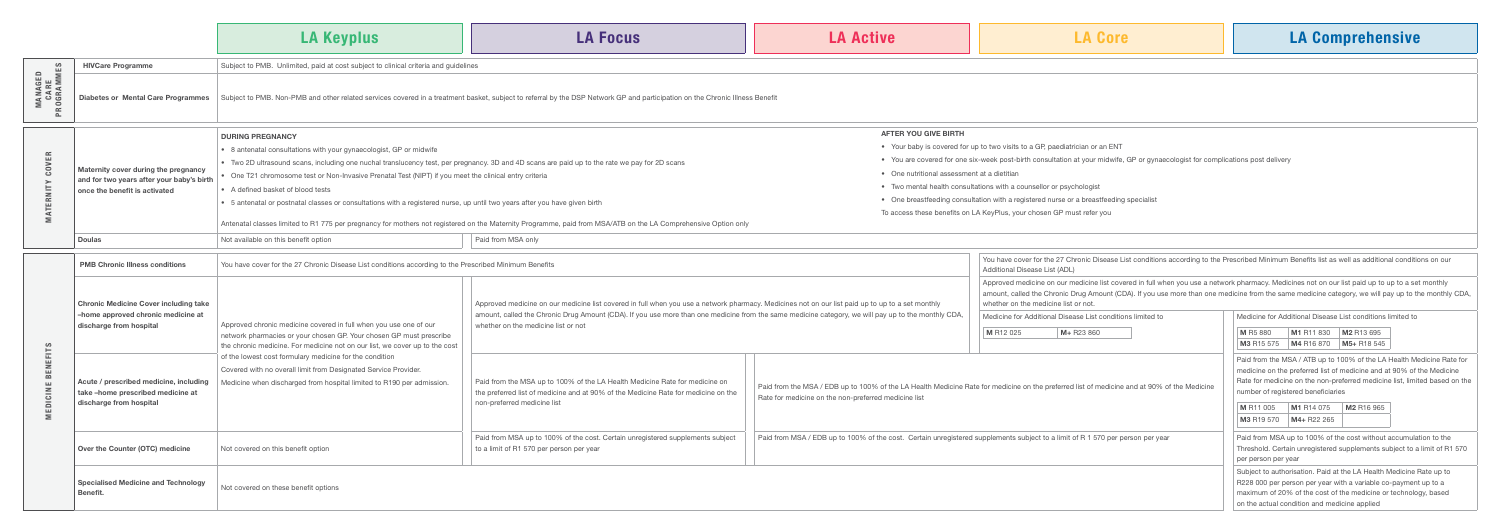MANAGED

## AFTER YOU GIVE BIRTH

- Your baby is covered for up to two visits to a GP, paediatrician or an ENT
- You are covered for one six-week post-birth consultation at your midwife, GP or gynaecologist for complications post delivery
- One nutritional assessment at a dietitian
- Two mental health consultations with a counsellor or psychologist
- One breastfeeding consultation with a registered nurse or a breastfeeding specialist

|                                           |                                                                                                                    | LA Keyplus                                                                                                                                                                                                                                                                                                                                                                                  | <b>LA Focus</b>                                                                                                                                                                                                                                                                                                                   | <b>LA Active</b>                                                                                                               | <b>LA Core</b>                                                                                                                                                                                                                                                                                                                             | <b>LA Comprehensive</b>                                                                                                                                                                                                                                                                                                |  |  |
|-------------------------------------------|--------------------------------------------------------------------------------------------------------------------|---------------------------------------------------------------------------------------------------------------------------------------------------------------------------------------------------------------------------------------------------------------------------------------------------------------------------------------------------------------------------------------------|-----------------------------------------------------------------------------------------------------------------------------------------------------------------------------------------------------------------------------------------------------------------------------------------------------------------------------------|--------------------------------------------------------------------------------------------------------------------------------|--------------------------------------------------------------------------------------------------------------------------------------------------------------------------------------------------------------------------------------------------------------------------------------------------------------------------------------------|------------------------------------------------------------------------------------------------------------------------------------------------------------------------------------------------------------------------------------------------------------------------------------------------------------------------|--|--|
| MES                                       | <b>HIVCare Programme</b>                                                                                           | Subject to PMB. Unlimited, paid at cost subject to clinical criteria and guidelines                                                                                                                                                                                                                                                                                                         |                                                                                                                                                                                                                                                                                                                                   |                                                                                                                                |                                                                                                                                                                                                                                                                                                                                            |                                                                                                                                                                                                                                                                                                                        |  |  |
| $\epsilon$ $\ll$<br>∶∝<br>PR <sub>0</sub> | Diabetes or Mental Care Programmes                                                                                 |                                                                                                                                                                                                                                                                                                                                                                                             | Subject to PMB. Non-PMB and other related services covered in a treatment basket, subject to referral by the DSP Network GP and participation on the Chronic Illness Benefit                                                                                                                                                      |                                                                                                                                |                                                                                                                                                                                                                                                                                                                                            |                                                                                                                                                                                                                                                                                                                        |  |  |
|                                           | Maternity cover during the pregnancy<br>and for two years after your baby's birth<br>once the benefit is activated | <b>DURING PREGNANCY</b><br>• 8 antenatal consultations with your gynaecologist, GP or midwife<br>• Two 2D ultrasound scans, including one nuchal translucency test, per pregnancy. 3D and 4D scans are paid up to the rate we pay for 2D scans<br>One T21 chromosome test or Non-Invasive Prenatal Test (NIPT) if you meet the clinical entry criteria<br>• A defined basket of blood tests |                                                                                                                                                                                                                                                                                                                                   | <b>AFTER YOU GIVE BIRTH</b><br>• One nutritional assessment at a dietitian                                                     | • Your baby is covered for up to two visits to a GP, paediatrician or an ENT<br>• You are covered for one six-week post-birth consultation at your midwife, GP or gynaecologist for complications post delivery<br>• Two mental health consultations with a counsellor or psychologist                                                     |                                                                                                                                                                                                                                                                                                                        |  |  |
|                                           |                                                                                                                    | • 5 antenatal or postnatal classes or consultations with a registered nurse, up until two years after you have given birth                                                                                                                                                                                                                                                                  | • One breastfeeding consultation with a registered nurse or a breastfeeding specialist<br>To access these benefits on LA KeyPlus, your chosen GP must refer you<br>Antenatal classes limited to R1 775 per pregnancy for mothers not registered on the Maternity Programme, paid from MSA/ATB on the LA Comprehensive Option only |                                                                                                                                |                                                                                                                                                                                                                                                                                                                                            |                                                                                                                                                                                                                                                                                                                        |  |  |
|                                           | <b>Doulas</b>                                                                                                      | Not available on this benefit option                                                                                                                                                                                                                                                                                                                                                        | Paid from MSA only                                                                                                                                                                                                                                                                                                                |                                                                                                                                |                                                                                                                                                                                                                                                                                                                                            |                                                                                                                                                                                                                                                                                                                        |  |  |
|                                           | <b>PMB Chronic Illness conditions</b>                                                                              | You have cover for the 27 Chronic Disease List conditions according to the Prescribed Minimum Benefits                                                                                                                                                                                                                                                                                      |                                                                                                                                                                                                                                                                                                                                   |                                                                                                                                | You have cover for the 27 Chronic Disease List conditions according to the Prescribed Minimum Benefits list as well as additional conditions on our<br>Additional Disease List (ADL)                                                                                                                                                       |                                                                                                                                                                                                                                                                                                                        |  |  |
|                                           | <b>Chronic Medicine Cover including take</b>                                                                       |                                                                                                                                                                                                                                                                                                                                                                                             | Approved medicine on our medicine list covered in full when you use a network pharmacy. Medicines not on our list paid up to up to a set monthly                                                                                                                                                                                  |                                                                                                                                | Approved medicine on our medicine list covered in full when you use a network pharmacy. Medicines not on our list paid up to up to a set monthly<br>amount, called the Chronic Drug Amount (CDA). If you use more than one medicine from the same medicine category, we will pay up to the monthly<br>whether on the medicine list or not. |                                                                                                                                                                                                                                                                                                                        |  |  |
|                                           | -home approved chronic medicine at<br>discharge from hospital                                                      | Approved chronic medicine covered in full when you use one of our<br>network pharmacies or your chosen GP. Your chosen GP must prescribe<br>the chronic medicine. For medicine not on our list, we cover up to the cost                                                                                                                                                                     | amount, called the Chronic Drug Amount (CDA). If you use more than one medicine from the same medicine category, we will pay up to the monthly CDA,<br>whether on the medicine list or not                                                                                                                                        |                                                                                                                                | Medicine for Additional Disease List conditions limited to<br>M R12 025<br>M+ R23 860                                                                                                                                                                                                                                                      | Medicine for Additional Disease List conditions limited to<br>M1 R11 830 M2 R13 695<br>M R5 880<br>$\vert$ M3 R15 575 $\vert$ M4 R16 870 $\vert$ M5+ R18 545                                                                                                                                                           |  |  |
|                                           | Acute / prescribed medicine, including<br>take-home prescribed medicine at<br>discharge from hospital              | of the lowest cost formulary medicine for the condition<br>Covered with no overall limit from Designated Service Provider.<br>Medicine when discharged from hospital limited to R190 per admission.                                                                                                                                                                                         | Paid from the MSA up to 100% of the LA Health Medicine Rate for medicine on<br>the preferred list of medicine and at 90% of the Medicine Rate for medicine on the<br>non-preferred medicine list                                                                                                                                  | Rate for medicine on the non-preferred medicine list                                                                           | Paid from the MSA / EDB up to 100% of the LA Health Medicine Rate for medicine on the preferred list of medicine and at 90% of the Medicine                                                                                                                                                                                                | Paid from the MSA / ATB up to 100% of the LA Health Medicine Rat<br>medicine on the preferred list of medicine and at 90% of the Medici<br>Rate for medicine on the non-preferred medicine list, limited based<br>number of registered beneficiaries<br>M1 R14 075 M2 R16 965<br>M R11 005<br>M3 R19 570   M4+ R22 265 |  |  |
|                                           | Over the Counter (OTC) medicine                                                                                    | Not covered on this benefit option                                                                                                                                                                                                                                                                                                                                                          | Paid from MSA up to 100% of the cost. Certain unregistered supplements subject<br>to a limit of R1 570 per person per year                                                                                                                                                                                                        | Paid from MSA / EDB up to 100% of the cost. Certain unregistered supplements subject to a limit of R 1 570 per person per year |                                                                                                                                                                                                                                                                                                                                            | Paid from MSA up to 100% of the cost without accumulation to the<br>Threshold. Certain unregistered supplements subject to a limit of R1<br>per person per year                                                                                                                                                        |  |  |
|                                           | <b>Specialised Medicine and Technology</b><br>Benefit.                                                             | Not covered on these benefit options                                                                                                                                                                                                                                                                                                                                                        |                                                                                                                                                                                                                                                                                                                                   |                                                                                                                                |                                                                                                                                                                                                                                                                                                                                            | Subject to authorisation. Paid at the LA Health Medicine Rate up to<br>R228 000 per person per year with a variable co-payment up to a<br>maximum of 20% of the cost of the medicine or technology, based                                                                                                              |  |  |

|                                                                                                                                                                                                     | You have cover for the 27 Chronic Disease List conditions according to the Prescribed Minimum Benefits list as well as additional conditions on our<br>Additional Disease List (ADL)                                                                                                                                                            |                                                            |  |                         |                                                                 |             |                                                                                                                                                                                                                              |
|-----------------------------------------------------------------------------------------------------------------------------------------------------------------------------------------------------|-------------------------------------------------------------------------------------------------------------------------------------------------------------------------------------------------------------------------------------------------------------------------------------------------------------------------------------------------|------------------------------------------------------------|--|-------------------------|-----------------------------------------------------------------|-------------|------------------------------------------------------------------------------------------------------------------------------------------------------------------------------------------------------------------------------|
| y. Medicines not on our list paid up to up to a set monthly<br>the same medicine category, we will pay up to the monthly CDA,                                                                       | Approved medicine on our medicine list covered in full when you use a network pharmacy. Medicines not on our list paid up to up to a set monthly<br>amount, called the Chronic Drug Amount (CDA). If you use more than one medicine from the same medicine category, we will pay up to the monthly CDA,<br>whether on the medicine list or not. |                                                            |  |                         |                                                                 |             |                                                                                                                                                                                                                              |
|                                                                                                                                                                                                     |                                                                                                                                                                                                                                                                                                                                                 | Medicine for Additional Disease List conditions limited to |  |                         | Medicine for Additional Disease List conditions limited to      |             |                                                                                                                                                                                                                              |
|                                                                                                                                                                                                     | M R12 025                                                                                                                                                                                                                                                                                                                                       | $M + R23860$                                               |  | M R5 880                | M1 R11 830                                                      | M2 R13 695  |                                                                                                                                                                                                                              |
|                                                                                                                                                                                                     |                                                                                                                                                                                                                                                                                                                                                 |                                                            |  | M3 R15 575              | M4 R16 870                                                      | M5+ R18 545 |                                                                                                                                                                                                                              |
| Paid from the MSA / EDB up to 100% of the LA Health Medicine Rate for medicine on the preferred list of medicine and at 90% of the Medicine<br>Rate for medicine on the non-preferred medicine list |                                                                                                                                                                                                                                                                                                                                                 |                                                            |  | M R11 005<br>M3 R19 570 | number of registered beneficiaries<br>M1 R14 075<br>M4+ R22 265 | M2 R16 965  | Paid from the MSA / ATB up to 100% of the LA Health Medicine Rate for<br>medicine on the preferred list of medicine and at 90% of the Medicine<br>Rate for medicine on the non-preferred medicine list, limited based on the |
| Paid from MSA / EDB up to 100% of the cost. Certain unregistered supplements subject to a limit of R 1 570 per person per year                                                                      |                                                                                                                                                                                                                                                                                                                                                 |                                                            |  | per person per year     |                                                                 |             | Paid from MSA up to 100% of the cost without accumulation to the<br>Threshold. Certain unregistered supplements subject to a limit of R1 570                                                                                 |
|                                                                                                                                                                                                     |                                                                                                                                                                                                                                                                                                                                                 |                                                            |  |                         | on the actual condition and medicine applied                    |             | Subject to authorisation. Paid at the LA Health Medicine Rate up to<br>R228 000 per person per year with a variable co-payment up to a<br>maximum of 20% of the cost of the medicine or technology, based                    |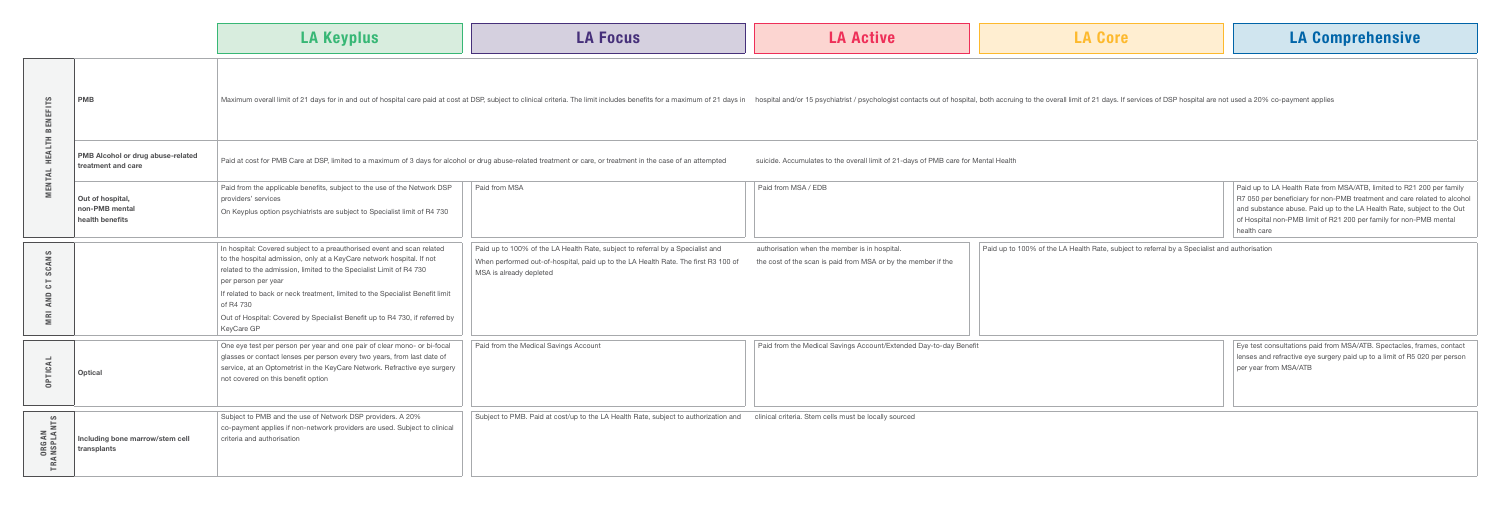|                  | <b>LA Keyplus</b> | <b>LA Focus</b>                                                                                                                                                                                                                | <b>A Active</b> | <b>LA Core</b> | <b>LA Con</b> |
|------------------|-------------------|--------------------------------------------------------------------------------------------------------------------------------------------------------------------------------------------------------------------------------|-----------------|----------------|---------------|
| <b>PME</b><br>ဖာ |                   | Maximum overall limit of 21 days for in and out of hospital care paid at cost at DSP, subject to clinical criteria. The limit includes benefits for a maximum of 21 days in hospital nd/or 15 psychologist contacts out of hos |                 |                |               |

| Paid from MSA | Paid from MSA / EDB | Paid up to LA Health Rate from MSA/ATB, limited to R21 200 per family    |
|---------------|---------------------|--------------------------------------------------------------------------|
|               |                     | R7 050 per beneficiary for non-PMB treatment and care related to alcohol |
|               |                     | and substance abuse. Paid up to the LA Health Rate, subject to the Out   |
|               |                     | of Hospital non-PMB limit of R21 200 per family for non-PMB mental       |
|               |                     | health care                                                              |

| <b>BENEFITS</b>                             | <b>PMB</b>                                              | Maximum overall limit of 21 days for in and out of hospital care paid at cost at DSP, subject to clinical criteria. The limit includes benefits for a maximum of 21 days in hospital and/or 15 psychiatrist / psychologist con                                                                                                                                                                                                           |                                                                                                                                                                                                 |                                                                                                                |  |
|---------------------------------------------|---------------------------------------------------------|------------------------------------------------------------------------------------------------------------------------------------------------------------------------------------------------------------------------------------------------------------------------------------------------------------------------------------------------------------------------------------------------------------------------------------------|-------------------------------------------------------------------------------------------------------------------------------------------------------------------------------------------------|----------------------------------------------------------------------------------------------------------------|--|
| <b>HEALTH</b><br>MENTAL                     | PMB Alcohol or drug abuse-related<br>treatment and care |                                                                                                                                                                                                                                                                                                                                                                                                                                          | Paid at cost for PMB Care at DSP, limited to a maximum of 3 days for alcohol or drug abuse-related treatment or care, or treatment in the case of an attempted                                  | suicide. Accumulates to the overall limit of 21-days of PMB ca                                                 |  |
|                                             | Out of hospital,<br>non-PMB mental<br>health benefits   | Paid from the applicable benefits, subject to the use of the Network DSP<br>providers' services<br>On Keyplus option psychiatrists are subject to Specialist limit of R4 730                                                                                                                                                                                                                                                             | Paid from MSA                                                                                                                                                                                   | Paid from MSA / EDB                                                                                            |  |
| ဖာ<br>$\leq$<br>ت<br>ഗ<br>Ć٦<br>$\leq$<br>Έ |                                                         | In hospital: Covered subject to a preauthorised event and scan related<br>to the hospital admission, only at a KeyCare network hospital. If not<br>related to the admission, limited to the Specialist Limit of R4 730<br>per person per year<br>If related to back or neck treatment, limited to the Specialist Benefit limit<br>of R4 730<br>Out of Hospital: Covered by Specialist Benefit up to R4 730, if referred by<br>KeyCare GP | Paid up to 100% of the LA Health Rate, subject to referral by a Specialist and<br>When performed out-of-hospital, paid up to the LA Health Rate. The first R3 100 of<br>MSA is already depleted | authorisation when the member is in hospital.<br>the cost of the scan is paid from MSA or by the member if the |  |
| <b>OPTICAL</b>                              | Optical                                                 | One eye test per person per year and one pair of clear mono- or bi-focal<br>glasses or contact lenses per person every two years, from last date of<br>service, at an Optometrist in the KeyCare Network. Refractive eye surgery<br>not covered on this benefit option                                                                                                                                                                   | Paid from the Medical Savings Account                                                                                                                                                           | Paid from the Medical Savings Account/Extended Day-to-day                                                      |  |
| <b>ORGAN<br/>FRANSPLANTS</b>                | Including bone marrow/stem cell<br>transplants          | Subject to PMB and the use of Network DSP providers. A 20%<br>co-payment applies if non-network providers are used. Subject to clinical<br>criteria and authorisation                                                                                                                                                                                                                                                                    | Subject to PMB. Paid at cost/up to the LA Health Rate, subject to authorization and                                                                                                             | clinical criteria. Stem cells must be locally sourced                                                          |  |

ulates to the overall limit of 21-days of PMB care for Mental Health

| Paid up to 100% of the LA Health Rate, subject to referral by a Specialist and                                | authorisation when the member is in hospital.                     | Paid up to 100% of the LA Health Rate, subject to referral by a Specialist and authorisation |                                                                                                                                                                             |
|---------------------------------------------------------------------------------------------------------------|-------------------------------------------------------------------|----------------------------------------------------------------------------------------------|-----------------------------------------------------------------------------------------------------------------------------------------------------------------------------|
| When performed out-of-hospital, paid up to the LA Health Rate. The first R3 100 of<br>MSA is already depleted | the cost of the scan is paid from MSA or by the member if the     |                                                                                              |                                                                                                                                                                             |
| Paid from the Medical Savings Account                                                                         | Paid from the Medical Savings Account/Extended Day-to-day Benefit |                                                                                              | Eye test consultations paid from MSA/ATB. Spectacles, frames, contact<br>lenses and refractive eye surgery paid up to a limit of R5 020 per person<br>per year from MSA/ATB |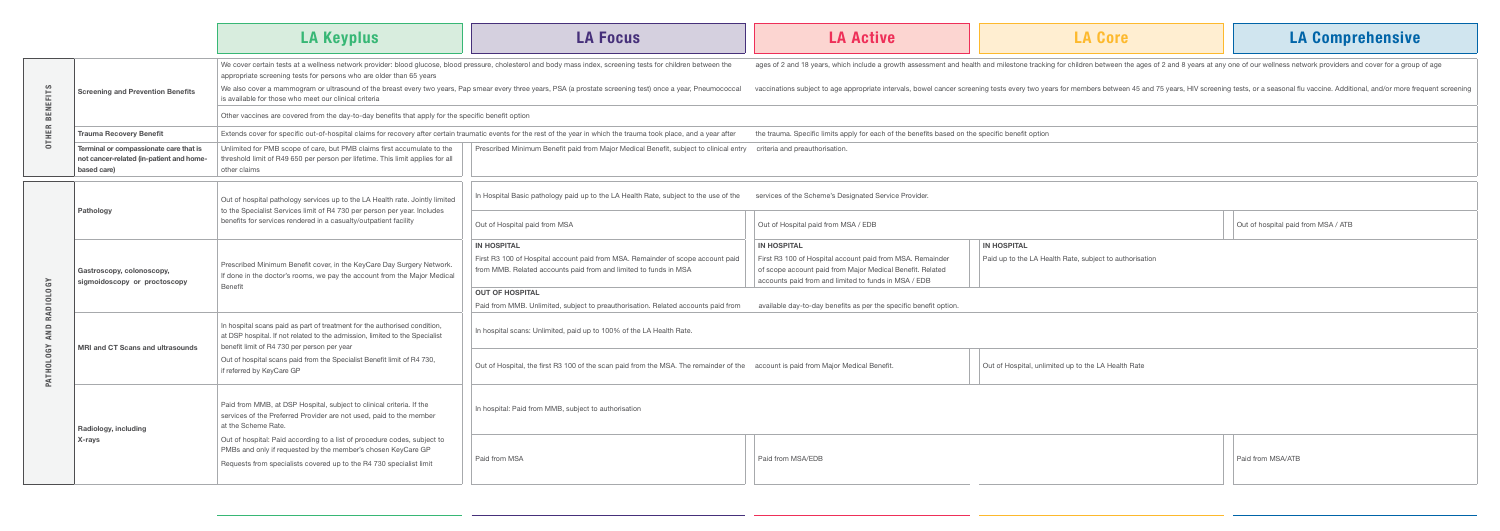| Out of Hospital paid from MSA / EDB<br>Out of Hospital paid from MSA            |                                                           |                                                         | Out of hospital paid from MSA / ATB |
|---------------------------------------------------------------------------------|-----------------------------------------------------------|---------------------------------------------------------|-------------------------------------|
| IN HOSPITAL                                                                     | <b>IN HOSPITAL</b>                                        | <b>IN HOSPITAL</b>                                      |                                     |
| First R3 100 of Hospital account paid from MSA. Remainder of scope account paid | First R3 100 of Hospital account paid from MSA. Remainder | Paid up to the LA Health Rate, subject to authorisation |                                     |
| from MMB. Related accounts paid from and limited to funds in MSA                | of scope account paid from Major Medical Benefit. Related |                                                         |                                     |
|                                                                                 | accounts paid from and limited to funds in MSA / EDB      |                                                         |                                     |

-to-day benefits as per the specific benefit option.

| Out of Hospital, the first R3 100 of the scan paid from the MSA. The remainder of the account is paid from Major Medical Benefit. | Out of Hospital, unlimited up to the LA Health Rate |
|-----------------------------------------------------------------------------------------------------------------------------------|-----------------------------------------------------|

| Paid from MSA | Paid from MSA/EDB | Paid from MSA/ATB<br>the contract of the contract of the contract of |
|---------------|-------------------|----------------------------------------------------------------------|
|               |                   |                                                                      |

|                  |                                                                                                                                                                                                                                                    | <b>LA Keyplus</b>                                                                                                                                                                                                                      | <b>LA Focus</b>                                                                                                                                                         |                                                   |  |  |
|------------------|----------------------------------------------------------------------------------------------------------------------------------------------------------------------------------------------------------------------------------------------------|----------------------------------------------------------------------------------------------------------------------------------------------------------------------------------------------------------------------------------------|-------------------------------------------------------------------------------------------------------------------------------------------------------------------------|---------------------------------------------------|--|--|
|                  |                                                                                                                                                                                                                                                    | We cover certain tests at a wellness network provider: blood glucose, blood pressure, cholesterol and body mass index, screening tests for children between the<br>appropriate screening tests for persons who are older than 65 years |                                                                                                                                                                         |                                                   |  |  |
| <b>BENEFITS</b>  | <b>Screening and Prevention Benefits</b>                                                                                                                                                                                                           | is available for those who meet our clinical criteria                                                                                                                                                                                  | We also cover a mammogram or ultrasound of the breast every two years, Pap smear every three years, PSA (a prostate screening test) once a year, Pneumococcal           | vaccinations su                                   |  |  |
|                  |                                                                                                                                                                                                                                                    | Other vaccines are covered from the day-to-day benefits that apply for the specific benefit option                                                                                                                                     |                                                                                                                                                                         |                                                   |  |  |
| <b>OTHER</b>     | <b>Trauma Recovery Benefit</b>                                                                                                                                                                                                                     |                                                                                                                                                                                                                                        | Extends cover for specific out-of-hospital claims for recovery after certain traumatic events for the rest of the year in which the trauma took place, and a year after | the trauma. Spe                                   |  |  |
|                  | Terminal or compassionate care that is<br>not cancer-related (in-patient and home-<br>based care)                                                                                                                                                  | Unlimited for PMB scope of care, but PMB claims first accumulate to the<br>threshold limit of R49 650 per person per lifetime. This limit applies for all<br>other claims                                                              | Prescribed Minimum Benefit paid from Major Medical Benefit, subject to clinical entry                                                                                   | criteria and pre                                  |  |  |
|                  | Pathology                                                                                                                                                                                                                                          | Out of hospital pathology services up to the LA Health rate. Jointly limited<br>to the Specialist Services limit of R4 730 per person per year. Includes                                                                               | In Hospital Basic pathology paid up to the LA Health Rate, subject to the use of the                                                                                    | services of the                                   |  |  |
|                  |                                                                                                                                                                                                                                                    | benefits for services rendered in a casualty/outpatient facility                                                                                                                                                                       | Out of Hospital paid from MSA                                                                                                                                           | Out of Hospita                                    |  |  |
|                  | Gastroscopy, colonoscopy,<br>sigmoidoscopy or proctoscopy                                                                                                                                                                                          |                                                                                                                                                                                                                                        | <b>IN HOSPITAL</b>                                                                                                                                                      | <b>IN HOSPITAL</b>                                |  |  |
|                  |                                                                                                                                                                                                                                                    | Prescribed Minimum Benefit cover, in the KeyCare Day Surgery Network.<br>If done in the doctor's rooms, we pay the account from the Major Medical                                                                                      | First R3 100 of Hospital account paid from MSA. Remainder of scope account paid<br>from MMB. Related accounts paid from and limited to funds in MSA                     | First R3 100 of<br>of scope acco<br>accounts paid |  |  |
|                  |                                                                                                                                                                                                                                                    | <b>Benefit</b>                                                                                                                                                                                                                         | <b>OUT OF HOSPITAL</b>                                                                                                                                                  |                                                   |  |  |
| RADIOLOGY        |                                                                                                                                                                                                                                                    |                                                                                                                                                                                                                                        | Paid from MMB. Unlimited, subject to preauthorisation. Related accounts paid from                                                                                       | available day-t                                   |  |  |
| AND              | In hospital scans paid as part of treatment for the authorised condition,<br>at DSP hospital. If not related to the admission, limited to the Specialist<br>benefit limit of R4 730 per person per year<br><b>MRI and CT Scans and ultrasounds</b> |                                                                                                                                                                                                                                        | In hospital scans: Unlimited, paid up to 100% of the LA Health Rate.                                                                                                    |                                                   |  |  |
| <b>PATHOLOGY</b> |                                                                                                                                                                                                                                                    | Out of hospital scans paid from the Specialist Benefit limit of R4 730,<br>if referred by KeyCare GP                                                                                                                                   | Out of Hospital, the first R3 100 of the scan paid from the MSA. The remainder of the account is paid                                                                   |                                                   |  |  |
|                  | Radiology, including                                                                                                                                                                                                                               | Paid from MMB, at DSP Hospital, subject to clinical criteria. If the<br>services of the Preferred Provider are not used, paid to the member<br>at the Scheme Rate.                                                                     | In hospital: Paid from MMB, subject to authorisation                                                                                                                    |                                                   |  |  |
|                  | X-rays                                                                                                                                                                                                                                             | Out of hospital: Paid according to a list of procedure codes, subject to<br>PMBs and only if requested by the member's chosen KeyCare GP<br>Requests from specialists covered up to the R4 730 specialist limit                        | Paid from MSA                                                                                                                                                           | Paid from MS/                                     |  |  |

| <b>LA Active</b> |  |  |
|------------------|--|--|
|                  |  |  |

18 years, which include a growth assessment and health and milestone tracking for children between the ages of 2 and 8 years at any one of our wellness network providers and cover for a group of age

subject to age appropriate intervals, bowel cancer screening tests every two years for members between 45 and 75 years, HIV screening tests, or a seasonal flu vaccine. Additional, and/or more frequent screening

pecific limits apply for each of the benefits based on the specific benefit option

eauthorisation.

e Scheme's Designated Service Provider.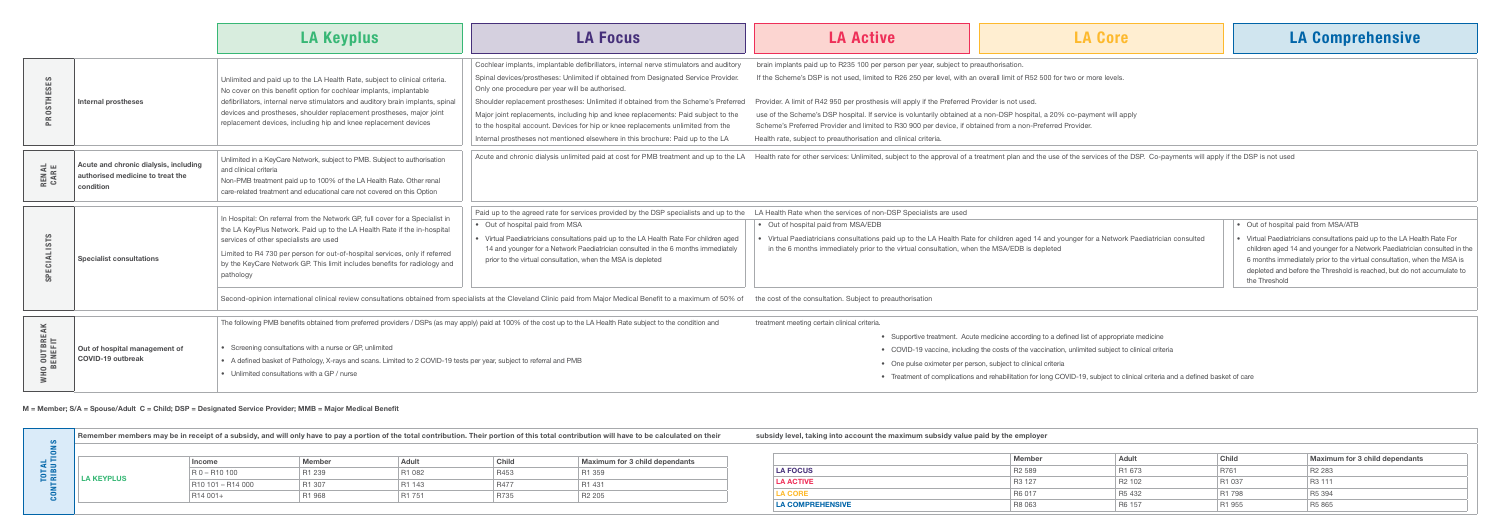Pat when the services of non-DSP Specialists are used spital paid from MSA/EDB ediatricians consultations paid up to the LA Health Rate for children aged 14 and younger for a Network Paediatrician consulted nonths immediately prior to the virtual consultation, when the MSA/EDB is depleted • Out of hospital paid from MSA/ATB • Virtual Paediatricians consultations paid up to the LA Health Rate For children aged 14 and younger for a Network Paediatrician consulted in the 6 months immediately prior to the virtual consultation, when the MSA is depleted and before the Threshold is reached, but do not accumulate to the Threshold

e consultation. Subject to preauthorisation

eting certain clinical criteria.

|                                                          |                                                                                        | <b>LA Keyplus</b>                                                                                                                                                                                                                                                                                                                                                                                                     | <b>LA Focus</b>                                                                                                                                                                                                                                                                                                                                                                                                                                                                                                                                                                    |                                                                                                            |
|----------------------------------------------------------|----------------------------------------------------------------------------------------|-----------------------------------------------------------------------------------------------------------------------------------------------------------------------------------------------------------------------------------------------------------------------------------------------------------------------------------------------------------------------------------------------------------------------|------------------------------------------------------------------------------------------------------------------------------------------------------------------------------------------------------------------------------------------------------------------------------------------------------------------------------------------------------------------------------------------------------------------------------------------------------------------------------------------------------------------------------------------------------------------------------------|------------------------------------------------------------------------------------------------------------|
| PROSTHESES                                               | <b>Internal prostheses</b>                                                             | Unlimited and paid up to the LA Health Rate, subject to clinical criteria.<br>No cover on this benefit option for cochlear implants, implantable<br>defibrillators, internal nerve stimulators and auditory brain implants, spinal<br>devices and prostheses, shoulder replacement prostheses, major joint<br>replacement devices, including hip and knee replacement devices                                         | Cochlear implants, implantable defibrillators, internal nerve stimulators and auditory<br>Spinal devices/prostheses: Unlimited if obtained from Designated Service Provider.<br>Only one procedure per year will be authorised.<br>Shoulder replacement prostheses: Unlimited if obtained from the Scheme's Preferred<br>Major joint replacements, including hip and knee replacements: Paid subject to the<br>to the hospital account. Devices for hip or knee replacements unlimited from the<br>Internal prostheses not mentioned elsewhere in this brochure: Paid up to the LA | brain implants<br>If the Scheme<br>Provider. A limi<br>use of the Sch<br>Scheme's Pref<br>Health rate, sul |
| <b>RENAL</b><br>CARE                                     | Acute and chronic dialysis, including<br>authorised medicine to treat the<br>condition | Unlimited in a KeyCare Network, subject to PMB. Subject to authorisation<br>and clinical criteria<br>Non-PMB treatment paid up to 100% of the LA Health Rate. Other renal<br>care-related treatment and educational care not covered on this Option                                                                                                                                                                   | Acute and chronic dialysis unlimited paid at cost for PMB treatment and up to the LA                                                                                                                                                                                                                                                                                                                                                                                                                                                                                               | Health rate for                                                                                            |
| <b>SPECIALISTS</b>                                       | <b>Specialist consultations</b>                                                        | In Hospital: On referral from the Network GP, full cover for a Specialist in<br>the LA KeyPlus Network. Paid up to the LA Health Rate if the in-hospital<br>services of other specialists are used<br>Limited to R4 730 per person for out-of-hospital services, only if referred<br>by the KeyCare Network GP. This limit includes benefits for radiology and<br>pathology                                           | Paid up to the agreed rate for services provided by the DSP specialists and up to the<br>Out of hospital paid from MSA<br>Virtual Paediatricians consultations paid up to the LA Health Rate For children aged<br>14 and younger for a Network Paediatrician consulted in the 6 months immediately<br>prior to the virtual consultation, when the MSA is depleted<br>Second-opinion international clinical review consultations obtained from specialists at the Cleveland Clinic paid from Major Medical Benefit to a maximum of 50% of                                           | <b>LA Health Rate</b><br>• Out of hos<br>• Virtual Pae<br>in the 6 mo<br>the cost of the                   |
| <b>OUTBREAK</b><br>BENEFIT<br>$\mathbf{r}$<br><b>WHO</b> | Out of hospital management of<br><b>COVID-19 outbreak</b>                              | The following PMB benefits obtained from preferred providers / DSPs (as may apply) paid at 100% of the cost up to the LA Health Rate subject to the condition and<br>treatment meet<br>• Screening consultations with a nurse or GP, unlimited<br>• A defined basket of Pathology, X-rays and scans. Limited to 2 COVID-19 tests per year, subject to referral and PMB<br>• Unlimited consultations with a GP / nurse |                                                                                                                                                                                                                                                                                                                                                                                                                                                                                                                                                                                    |                                                                                                            |

- Supportive treatment. Acute medicine according to a defined list of appropriate medicine
- COVID-19 vaccine, including the costs of the vaccination, unlimited subject to clinical criteria
- One pulse oximeter per person, subject to clinical criteria
- Treatment of complications and rehabilitation for long COVID-19, subject to clinical criteria and a defined basket of care

| Remember members may be in receipt of a subsidy, and will only have to pay a portion of the total contribution. Their portion of this total contribution will have to be calculated on their |                   |        |        |       |                                | subsidy level, taking into account the maximum subsidy value paid by the employer |                    |      |              |                                |
|----------------------------------------------------------------------------------------------------------------------------------------------------------------------------------------------|-------------------|--------|--------|-------|--------------------------------|-----------------------------------------------------------------------------------|--------------------|------|--------------|--------------------------------|
|                                                                                                                                                                                              | <b>Income</b>     | Membe. |        | Chile | Maximum for 3 child dependants |                                                                                   | Member             | HubA | <b>Child</b> | Maximum for 3 child dependants |
|                                                                                                                                                                                              | R 0 - R 10 100    |        | 1 082  |       |                                | <b>LA FOCUS</b>                                                                   | R <sub>2</sub> 589 |      |              |                                |
| <b>LA KEYPLUS</b>                                                                                                                                                                            | 810 101 - R14 000 | R1 307 | R1 143 | R477  | R1 431                         | <b>LA ACTIVE</b>                                                                  | R <sub>3</sub> 127 |      | R1 037       | R <sub>3</sub> 111             |
|                                                                                                                                                                                              | R14 001+          |        |        |       |                                |                                                                                   |                    |      | R1 798       |                                |
|                                                                                                                                                                                              |                   |        |        |       |                                | <b>LA COMPREHENSIVE</b>                                                           | R8 063             |      | R1 955       | R5 865                         |

s paid up to R235 100 per person per year, subject to preauthorisation.

e's DSP is not used. Iimited to R26 250 per level, with an overall limit of R52 500 for two or more levels.

nit of R42 950 per prosthesis will apply if the Preferred Provider is not used.

heme's DSP hospital. If service is voluntarily obtained at a non-DSP hospital, a 20% co-payment will apply

eferred Provider and limited to R30 900 per device, if obtained from a non-Preferred Provider.

ubject to preauthorisation and clinical criteria.

r other services: Unlimited, subject to the approval of a treatment plan and the use of the services of the DSP. Co-payments will apply if the DSP is not used

### M = Member; S/A = Spouse/Adult C = Child; DSP = Designated Service Provider; MMB = Major Medical Benefit